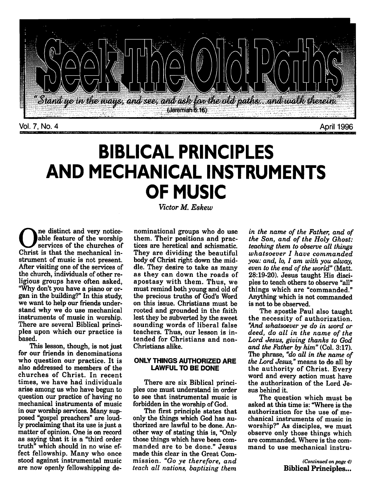

*BIBLICAL PRINCIPLES AND MECHANICAL INSTRUMENTS OF MUSIC*

**Victor M. Eskew**

ne distinct and very noticeable feature of the worship services of the churches of Christ is that the mechanical in strument of music is not present. After visiting one of the services of the church, individuals of other re ligious groups have often asked, "Why don't you have a piano or or gan in the building?" In this study, we want to help our friends under stand why we do use mechanical instruments of music in worship. There are several Biblical princi ples upon which our practice is based.

This lesson, though, is not just for our friends in denominations who question our practice. It is also addressed to members of the churches of Christ. In recent times, we have had individuals arise among us who have begun to question our practice of having no mechanical instruments of music in our worship services. Many sup posed "gospel preachers" are loud ly proclaiming that its use is just a matter of opinion. One is on record as saying that it is a "third order truth" which should in no wise ef fect fellowship. Many who once stood against instrumental music are now openly fellowshipping de

nominational groups who do use them. Their positions and prac tices are heretical and schismatic. They are dividing the beautiful body of Christ right down the mid dle. They desire to take as many as they can down the roads of apostasy with them. Thus, we must remind both young and old of the precious truths of God's Word on this issue. Christians must be rooted and grounded in the faith lest they be subverted by the sweet sounding words of liberal false teachers. Thus, our lesson is in tended for Christians and non-Christians alike.

### ONLY *THINGS AUTHORIZED ARE* LAWFUL TO BE DONE

There are six Biblical princi ples one must understand in order to see that instrumental music is forbidden in the worship of God.

The first principle states that only the things which God has au thorized are lawful to be done. An other way of stating this is, "Only those things which have been com manded are to be done." Jesus made this clear in the Great Com mission. **"Go ye therefore, and teach all nations, baptizing them**

**in the name of the Father, and of the Son, and of the Holy Ghost: teaching them to observe all things whatsoever I have commanded you: and, lo, I am with you alway,** even to the end of the world" (Matt. 28:19-20). Jesus taught His disci ples to teach others to observe "all" things which are "commanded." Anything which is not commanded is not to be observed.

The apostle Paul also taught the necessity of authorization. **"And whatsoever ye do in word or deed, do all in the name of the Lord Jesus, giving thanks to God and the Father by him"** (Col. 3:17). The phrase, **"do all in the name of** the Lord Jesus," means to do all by the authority of Christ. Every word and every action must have the authorization of the Lord Je sus behind it.

The question which must be asked at this time is: "Where is the authorization for the use of me chanical instruments of music in worship?" As disciples, we must observe only those things which are commanded. Where is the com mand to use mechanical instru-

> *(Continued on page 4) Biblical Principles...*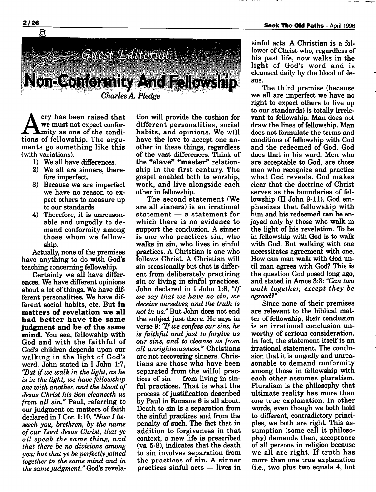

cry has been raised that we must not expect confor **A**mity as one of the conditions of fellowship. The argu ments go something like this (with variations):

- 1) We all have differences.
- 2) We all are sinners, there fore imperfect.
- 3) Because we are imperfect we have no reason to ex pect others to measure up to our standards.
- 4) Therefore, it is unreason able and ungodly to de mand conformity among those whom we fellow ship.

Actually, none of the premises have anything to do with God's teaching concerning fellowship.

Certainly we all have differ ences. We have different opinions about a lot of things. We have different personalities. We have dif ferent social habits, etc. But *in matters of revelation we all had better have the same judgment and be of the same mind.* You see, fellowship with God and with the faithful of God's children depends upon our walking in the light of God's word. John stated in I John 1:7, **"Butif we walk in the light, as he is in the light, we have fellowship one with another, and the blood of Jesus Christ his Son cleanseth us from all sin."** Paul, referring to our judgment on matters of faith declared in I Cor. 1:10, **"Now I be seech you, brethren, by the name of our Lord Jesus Christ, that ye all speak the same thing, and that there be no divisions among you; but that ye be perfectly joined together in the same mind and in the samejudgment."** God's revela

tion will provide the cushion for different personalities, social habits, and opinions. We will have the love to accept one an other in these things, regardless of the vast differences. Think of the *"slave" "master"* relation ship in the first century. The gospel enabled both to worship, work, and live alongside each other in fellowship.

The second statement (We are all sinners) is an irrational statement — a statement for which there is no evidence to support the conclusion. A sinner is one who practices sin, who walks in sin, who lives in sinful practices. A Christian is one who follows Christ. A Christian will sin occasionally but that is differ ent from deliberately practicing sin or living in sinful practices. John declared in I John 1:8, **"If we say that we have no sin, we deceive ourselves, and the truth is not in us."** But John does not end the subject just there. He says in verse 9: **"Ifwe confess our sins, he is faithful and just to forgive us our sins, and to cleanse us from all unrighteousness."** Christians are not recovering sinners. Chris tians are those who have been separated from the wilful prac tices of sin — from living in sin ful practices. That is what the process of justification described by Paul in Romans 6 is all about. Death to sin is a separation from the sinful practices and from the penalty of such. The fact that in addition to forgiveness in that context, a new life is prescribed (vs. 5-8), indicates that the death to sin involves separation from the practices of sin. A sinner practices sinful acts — lives in

sinful acts. A Christian is a fol lower of Christ who, regardless of his past life, now walks in the light of God's word and is cleansed daily by the blood of Je sus.

The third premise (because we all are imperfect we have no right to expect others to live up to our standards) is totally irrele vant to fellowship. Man does not draw the lines of fellowship. Man does not formulate the terms and conditions of fellowship with God and the redeemed of God. God does that in his word. Men who are acceptable to God, are those men who recognize and practice what God reveals. God makes clear that the doctrine of Christ serves as the boundaries of fel lowship (II John 9-11). God em phasizes that fellowship with him and his redeemed can be en joyed only by those who walk in the light of his revelation. To be in fellowship with God is to walk with God. But walking with one necessitates agreement with one. How can man walk with God un til man agrees with God? This is the question God posed long ago, and stated in Amos 3:3: **"Can two walk together, except they be agreed?"**

Since none of their premises are relevant to the biblical mat ter of fellowship, their conclusion is an irrational conclusion un worthy of serious consideration. In fact, the statement itself is an irrational statement. The conclu sion that it is ungodly and unrea sonable to demand conformity among those in fellowship with each other assumes pluralism. Pluralism is the philosophy that ultimate reality has more than one true explanation. In other words, even though we both hold to different, contradictory princi ples, we both are right. This as sumption (some call it philoso phy) demands then, acceptance of all persons in religion because we all are right. If truth has more than one true explanation (i.e., two plus two equals 4, but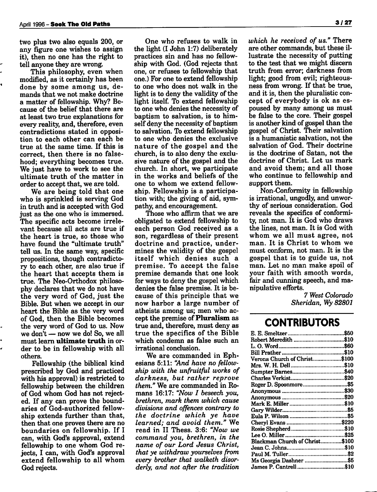two plus two also equals 200, or any figure one wishes to assign it), then no one has the right to tell anyone they are wrong.

This philosophy, even when modified, as it certainly has been done by some among us, de mands that we not make doctrine a matter of fellowship. Why? Be cause of the belief that there are at least two true explanations for every reality, and, therefore, even contradictions stated in opposi tion to each other can each be true at the same time. If this is correct, then there is no false hood; everything becomes true. We just have to work to see the ultimate truth of the matter in order to accept that, we are told.

We are being told that one who is sprinkled is serving God in truth and is accepted with God just as the one who is immersed. The specific acts become irrele vant because all acts are true if the heart is true, so those who have found the "ultimate truth" tell us. In the same way, specific propositions, though contradicto ry to each other, are also true if the heart that accepts them is true. The Neo-Orthodox philoso phy declares that we do not have the very word of God, just the Bible. But when we accept in our heart the Bible as the very word of God, then the Bible becomes the very word of God to us. Now we don't — now we do! So, we all must learn *ultimate truth* in or der to be in fellowship with all others.

Fellowship (the biblical kind prescribed by God and practiced with his approval) is restricted to fellowship between the children of God whom God has not reject ed. If any can prove the bound aries of God-authorized fellow ship extends further than that, then that one proves there are no boundaries on fellowship. If I can, with God's approval, extend fellowship to one whom God re jects, I can, with God's approval extend fellowship to all whom God rejects.

One who refuses to walk in the light (I John 1:7) deliberately practices sin and has no fellow ship with God. (God rejects that one, or refuses to fellowship that one.) For one to extend fellowship to one who does not walk in the light is to deny the validity of the light itself. To extend fellowship to one who denies the necessity of baptism to salvation, is to him self deny the necessity of baptism to salvation. To extend fellowship to one who denies the exclusive nature of the gospel and the church, is to also deny the exclu sive nature of the gospel and the church. In short, we participate in the works and beliefs of the one to whom we extend fellow ship. Fellowship is a participa tion with; the giving of aid, sym pathy, and encouragement.

Those who affirm that we are obligated to extend fellowship to each person God received as a son, regardless of their present doctrine and practice, under mines the validity of the gospel itself which denies such <sup>a</sup> premise. To accept the false premise demands that one look for ways to deny the gospel which denies the false premise. It is be cause of this principle that we now harbor a large number of atheists among us; men who ac cept the premise of *Pluralism* as true and, therefore, must deny as true the specifics of the Bible which condemn as false such an irrational conclusion.

We are commanded in Ephesians 5:11: **"And have no fellow ship with the unfruitful works of darkness, but rather reprove them."** We are commanded in Ro mans 16:17: **"Now I beseech you, brethren, mark them which cause divisions and offences contrary to the doctrine which ye have learned; and avoid them."** We read in II Thess. 3:6: **"Now we command you, brethren, in the name of our Lord Jesus Christ, that ye withdraw yourselves from every brother that walketh disor derly, and not after the tradition**

**which he received of us."** There are other commands, but these il lustrate the necessity of putting to the test that we might discern truth from error; darkness from light; good from evil; righteous ness from wrong. If that be true, and it is, then the pluralistic con cept of everybody is ok as es poused by many among us must be false to the core. Their gospel is another kind of gospel than the gospel of Christ. Their salvation is a humanistic salvation, not the salvation of God. Their doctrine is the doctrine of Satan, not the doctrine of Christ. Let us mark and avoid them; and all those who continue to fellowship and support them.

Non-Conformity in fellowship is irrational, ungodly, and unwor thy of serious consideration. God reveals the specifics of conformi ty, not man. It is God who draws the lines, not man. It is God with whom we all must agree, not man. It is Christ to whom we must conform, not man. It is the gospel that is to guide us, not man. Let no man make spoil of your faith with smooth words, fair and cunning speech, and ma nipulative efforts.

> **7 West Colorado Sheridan, Wy 82801**

# *CONTRIBUTORS*

| Verona Church of Christ\$100   |  |
|--------------------------------|--|
|                                |  |
|                                |  |
|                                |  |
| Roger D. Spoonmore\$5          |  |
|                                |  |
|                                |  |
|                                |  |
|                                |  |
|                                |  |
|                                |  |
|                                |  |
|                                |  |
| Blackman Church of Christ\$100 |  |
|                                |  |
|                                |  |
| Ms Georgia Dashner \$5         |  |
| James P. Cantrell\$10          |  |
|                                |  |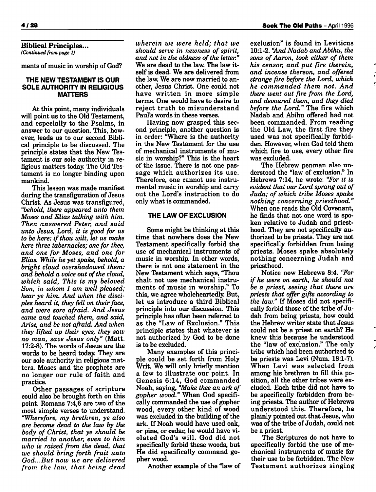*Biblical Principles... (Continued from page 1)*

ments of music in worship of God?

### *THE NEW TESTAMENT IS OUR SOLE AUTHORITY IN RELIGIOUS MATTERS*

At this point, many individuals will point us to the Old Testament, and especially to the Psalms, in answer to our question. This, how ever, leads us to our second Bibli cal principle to be discussed. The principle states that the New Tes tament is our sole authority in re ligious matters today. The Old Tes tament is no longer binding upon mankind.

This lesson was made manifest during the transfiguration of Jesus Christ. As Jesus was transfigured, **"behold, there appeared unto them Moses and Elias talking with him. Then answered Peter, and said unto Jesus, Lord, it is good for us to be here: ifthou wilt, let us make here three tabernacles; one for thee, and one for Moses, and one for Elias. While he yet spake, behold, a bright cloud overshadowed them: and behold a voice out ofthe cloud, which said, This is my beloved Son, in whom I am well pleased; hear ye him. And when the disci ples heard it, they fell on their face, and were sore afraid. And Jesus came and touched them, and said, Arise, and be not afraid. And when they lifted up their eyes, they saw no man, save Jesus only"** (Matt. 17:2-8). The words of Jesus are the words to be heard today. They are our sole authority in religious mat ters. Moses and the prophets are no longer our rule of faith and practice.

Other passages of scripture could also be brought forth on this point. Romans 7:4,6 are two of the most simple verses to understand. **"Wherefore, my brethren, ye also are become dead to the law by the body of Christ, that ye should be married to another, even to him who is raised from the dead, that we should bring forth fruit unto God...But now we are delivered from the law, that being dead** **wherein we were held; that we should** serve in newness of spirit, **and** not in the oldness of the letter." We are dead to the law. The law it self is dead. We are delivered from the law. We are now married to an other, Jesus Christ. One could not have written in more simple terms. One would have to desire to reject truth to misunderstand Paul's words in these verses.

Having now grasped this sec ond principle, another question is in order: "Where is the authority in the New Testament for the use of mechanical instruments of mu sic in worship?" This is the heart of the issue. There is not one pas sage which authorizes its use. Therefore, one cannot use instru mental music in worship and carry out the Lord's instruction to do only what is commanded.

### *THE LAW OF EXCLUSION*

Some might be thinking at this time that nowhere does the New Testament specifically forbid the use of mechanical instruments of music in worship. In other words, there is not one statement in the New Testament which says, "Thou shalt not use mechanical instru ments of music in worship." To this, we agree wholeheartedly. But, let us introduce a third Biblical principle into our discussion. This principle has often been referred to as the "Law of Exclusion." This principle states that whatever is not authorized by God to be done is to be excluded.

Many examples of this princi ple could be set forth from Holy Writ. We will only briefly mention a few to illustrate our point. In Genesis 6:14, God commanded Noah, saying, **"Make thee an ark of gopher wood."** When God specifi cally commanded the use of gopher wood, every other kind of wood was excluded in the building of the ark. If Noah would have used oak, or pine, or cedar, he would have vi olated God's will. God did not specifically forbid these woods, but He did specifically command go pher wood.

Another example of the "law of

exclusion" is found in Leviticus 10:1-2. "And Nadab and Abihu, the **sons ofAaron, took either of them his censor, and put fire therein, and incense thereon, and offered strange fire before the Lord, which he commanded them not. And there went out fire from the Lord, and devoured them, and they died before the Lord."** The fire which Nadab and Abihu offered had not been commanded. From reading the Old Law, the first fire they used was not specifically forbid den. However, when God told them which fire to use, every other fire was excluded.

The Hebrew penman also un derstood the "law of exclusion." In Hebrews 7:14, he wrote: **"For it is evident that our Lord sprang out of Juda; of which tribe Moses spake nothing concerning priesthood."** When one reads the Old Covenant, he finds that not one word is spo ken relative to Judah and priest hood. They are not specifically au thorized to be priests. They are not specifically forbidden from being priests. Moses spake absolutely nothing concerning Judah and priesthood.

Notice now Hebrews 8:4. **"For if he were on earth, he should not be a priest, seeing that there are priests that offer gifts according to the law."** If Moses did not specifi cally forbid those of the tribe of Judah from being priests, how could the Hebrew writer state that Jesus could not be a priest on earth? He knew this because he understood the "law of exclusion." The only tribe which had been authorized to be priests was Levi (Num. 18:1-7). When Levi was selected from among his brethren to fill this po sition, all the other tribes were excluded. Each tribe did not have to be specifically forbidden from be ing priests. The author of Hebrews understood this. Therefore, he plainly pointed out that Jesus, who was of the tribe of Judah, could not be a priest.

The Scriptures do not have to specifically forbid the use of me chanical instruments of music for their use to be forbidden. The New Testament authorizes singing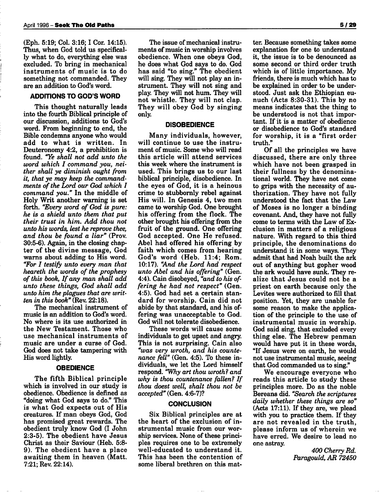(Eph. 5:19; Col. 3:16; I Cor. 14:15). Thus, when God told us specifical ly what to do, everything else was excluded. To bring in mechanical instruments of music is to do something not commanded. They are an addition to God's word.

## *ADDITIONS TO GOD'S WORD*

This thought naturally leads into the fourth Biblical principle of our discussion, additions to God's word. From beginning to end, the Bible condemns anyone who would add to what is written. In Deuteronomy 4:2, a prohibition is found. **"Ye shall not add unto the word which I command you, nei ther shall ye diminish ought from it, that ye may keep the command ments ofthe Lord our God which I command you."** In the middle of Holy Writ another warning is set forth. **"Every word of God is pure: he is a shield unto them that put their trust in him. Add thou not unto his words, lest he reprove thee, and thou be found a liar"** (Prov. 30:5-6). Again, in the closing chap ter of the divine message, God warns about adding to His word. **"For I testify unto every man that heareth the words of the prophesy ofthis book, If any man shall add unto these things, God shall add unto him the plagues that are writ ten in this book"** (Rev. 22:18).

The mechanical instrument of music is an addition to God's word. No where is its use authorized in the New Testament. Those who use mechanical instruments of music are under a curse of God. God does not take tampering with His word lightly.

#### *OBEDIENCE*

The fifth Biblical principle which is involved in our study is obedience. Obedience is defined as "doing what God says to do." This is what God expects out of His creatures. If man obeys God, God has promised great rewards. The obedient truly know God (I John 2:3-5). The obedient have Jesus Christ as their Saviour (Heb. 5:8- 9). The obedient have a place awaiting them in heaven (Matt. 7:21; Rev. 22:14).

The issue of mechanical instruments of music in worship involves obedience. When one obeys God, he does what God says to do. God has said "to sing." The obedient will sing. They will not play an in strument. They will not sing and play. They will not hum. They will not whistle. They will not clap. They will obey God by singing only.

#### *DISOBEDIENCE*

Many individuals, however, will continue to use the instru ment of music. Some who will read this article will attend services this week where the instrument is used. This brings us to our last biblical principle, disobedience. In the eyes of God, it is a heinous crime to stubbornly rebel against His will. In Genesis 4, two men came to worship God. One brought his offering from the flock. The other brought his offering from the fruit of the ground. One offering God accepted. One He refused. Abel had offered his offering by faith which comes from hearing God's word (Heb. 11:4; Rom. 10:17). **"And the Lord had respect unto Abel and his offering"** (Gen. 4:4). Cain disobeyed, **"and to his of fering he had not respect"** (Gen. 4:5). God had set a certain stan dard for worship. Cain did not abide by that standard, and his of fering was unacceptable to God. God will not tolerate disobedience.

These words will cause some individuals to get upset and angry. This is not surprising. Cain also **"was very wroth, and his counte nance fell"** (Gen. 4:5). To these in dividuals, we let the Lord himself respond. **"Why art thou wroth? and why is thou countenance fallen? If thou doest well, shalt thou not be accepted"** (Gen. 4:6-7)?

#### *CONCLUSION*

Six Biblical principles are at the heart of the exclusion of in strumental music from our wor ship services. None of these principles requires one to be extremely well-educated to understand it. This has been the contention of some liberal brethren on this mat

ter. Because something takes some explanation for one to understand it, the issue is to be denounced as some second or third order truth which is of little importance. My friends, there is much which has to be explained in order to be under stood. Just ask the Ethiopian eu nuch (Acts 8:30-31). This by no means indicates that the thing to be understood is not that impor tant. If it is <sup>a</sup> matter of obedience or disobedience to God's standard for worship, it is a "first order truth."

Of all the principles we have discussed, there are only three which have not been grasped in their fullness by the denomina tional world. They have not come to grips with the necessity of au thorization. They have not fully understood the fact that the Law of Moses is no longer a binding covenant. And, they have not fully come to terms with the Law of Exclusion in matters of a religious nature. With regard to this third principle, the denominations do understand it in some ways. They admit that had Noah built the ark out of anything but gopher wood the ark would have sunk. They re alize that Jesus could not be <sup>a</sup> priest on earth because only the Levites were authorized to fill that position. Yet, they are unable for some reason to make the applica tion of the principle to the use of instrumental music in worship. God said sing, that excluded every thing else. The Hebrew penman would have put it in these words, "If Jesus were on earth, he would not use instrumental music, seeing that God commanded us to sing."

We encourage everyone who reads this article to study these principles more. Do as the noble Bereans did. **"Search the scriptures daily whether these things are so"** (Acts 17:11). If they are, we plead with you to practice them. If they are not revealed in the truth, please inform us of wherein we have erred. We desire to lead no one astray.

> **400 Cherry Rd. Paragould, AR 72450**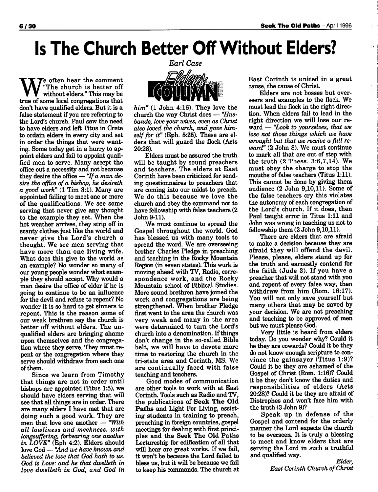# *Is The Church Better OffWithout Elders?*

e often hear the comment "The church is better off without elders." This may be true of some local congregations that don't have qualified elders. But it is a false statement if you are referring to the Lord's church. Paul saw the need to have elders and left Titus in Crete to ordain elders in every city and set in order the things that were want ing. Some today get in a hurry to ap point elders and fail to appoint quali fied men to serve. Many accept the office out a necessity and not because they desire the office — **"Ifa man de sire the office of a bishop, he desireth a good work"** (1 Tim 3:1). Many are appointed failing to meet one or more of the qualifications. We see some serving that never give any thought to the example they set. When the hot weather arrives, they strip off in scanty clothes just like the world and never give the Lord's church a thought. We see men serving that have more than one living wife. What does this give to the world as an example? No wonder so many of our young people wonder what exam ple they should accept. Why would a man desire the office of elder if he is going to continue to be an influence for the devil and refuse to repent? No wonder it is so hard to get sinners to repent. This is the reason some of our weak brethren say the church is better off without elders. The un qualified elders are bringing shame upon themselves and the congregation where they serve. They must re pent or the congregation where they serve should withdraw from each one ofthem.

Since we learn from Timothy that things are not in order until bishops are appointed (Titus 1:5), we should have elders serving that will see that all things are in order. There are many elders I have met that are doing such a good work. They are men that love one another — **"With all lowliness and meekness, with longsuffering, forbearing one another in LOVE"** (Eph 4:2). Elders should love God — **"And we have known and believed the love that God hath to us. God is Love: and he that dwelleth in love dwelleth in God, and God in** **Earl Case**

**him"** (1 John 4:16). They love the church the way Christ does — **"Hus bands, loveyour wives, even as Christ also loved the church, and gave him** self for it" (Eph. 5:25). These are elders that will guard the flock (Acts 20:28).

Elders must be assured the truth will be taught by sound preachers and teachers. The elders at East Corinth have been criticized for send ing questionnaires to preachers that are coming into our midst to preach. We do this because we love the church and obey the command not to have fellowship with false teachers (2 John 9-11).

We must continue to spread the Gospel throughout the world. God has blessed us with many tools to spread the word. We are overseeing brother Charles Pledge in preaching and teaching in the Rocky Mountain Region (in seven states). This work is moving ahead with TV, Radio, corre spondence work, and the Rocky Mountain school of Biblical Studies. More sound brethren have joined the work and congregations are being strengthened. When brother Pledge first went to the area the church was very weak and many in the area were determined to turn the Lord's church into a denomination. If things don't change in the so-called Bible belt, we will have to devote more time to restoring the church in the tri-state area and Corinth, MS. We are continually faced with false teaching and teachers.

Good modes of communication are other tools to work with at East Corinth. Tools such as Radio and TV, the publications of *Seek The Old Paths* and Light For Living, assist ing students in training to preach, preaching in foreign countries, gospel meetings for dealing with first princi ples and the Seek The Old Paths Lectureship for edification of all that will hear are great works. If we fail, it won't be because the Lord failed to bless us, but it will be because we fail to keep his commands. The church at East Corinth is united in a great cause, the cause of Christ.

Elders are not bosses but over seers and examples to the flock. We must lead the flock in the right direc tion. When elders fail to lead in the right direction we will lose our re ward — **"Look to yourselves, that we lose not those things which we have wrought but that we receive a full re ward"** (2 John 8). We must continue to mark all that are out of step with the truth (2 Thess. 3:6,7,14). We must obey the charge to stop the mouths of false teachers (Titus 1:11). This cannot be done by giving them audience (2 John 9,10,11). Some of the false teachers cry this violates the autonomy of each congregation of the Lord's church. If it does, then Paul taught error in Titus 1:11 and John was wrong in teaching us not to fellowship them (2 John 9,10,11).

There are elders that are afraid to make a decision because they are afraid they will offend the devil. Please, please, elders stand up for the truth and earnestly contend for the faith (Jude 3). If you have a preacher that will not stand with you and repent of every false way, then withdraw from him (Rom. 16:17). You will not only save yourself but many others that may be saved by your decision. We are not preaching and teaching to be approved of men but we must please God.

Very little is heard from elders today. Do you wonder why? Could it be they are cowards? Could it be they do not know enough scripture to con vince the gainsayer (Titus 1:9)? Could it be they are ashamed of the Gospel of Christ (Rom. 1:16)? Could it be they don't know the duties and responsibilities of elders (Acts 20:28)? Could it be they are afraid of Diotrephes and won't face him with the truth (3 John 9)?

Speak up in defense of the Gospel and contend for the orderly manner the Lord expects the church to be overseen. It is truly a blessing to meet and know elders that are serving the Lord in such a truthful and qualified way.

**Elder, East Corinth Church ofChrist**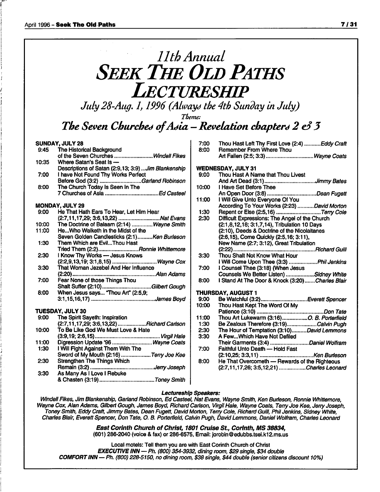# **11th Annual SEEK THE OLD PATHS Lectureship**

**July 28-Aug. 1,1996 (Always the 4th Sunday in July)**

**Theme:**

*The Seven Churched ofAdia —Revelationchapters 2* **e3***3*

## *SUNDAY, JULY 28*

| 9:45  | The Historical Background                                                          |
|-------|------------------------------------------------------------------------------------|
|       | of the Seven Churches Windell Fikes                                                |
| 10:35 | Where Satan's Seat is -                                                            |
|       | Descriptions of Satan (2:9,13; 3:9)  Jim Blankenship                               |
| 7:00  | I have Not Found Thy Works Perfect                                                 |
|       |                                                                                    |
| 8:00  | Before God (3:2) Garland Robinson<br>The Church Today Is Seen In The               |
|       |                                                                                    |
|       | MONDAY, JULY 29                                                                    |
| 9:00  | He That Hath Ears To Hear, Let Him Hear                                            |
|       |                                                                                    |
| 10:00 | (2:7,11,17,29; 3:6,13,22) Nat Evans<br>The Doctrine of Balaam (2:14) Wayne Smith   |
| 11:00 | HeWho Walketh in the Midst of the                                                  |
|       | Seven Golden Candlesticks (2:1)Ken Burleson                                        |
| 1:30  | Them Which are EvilThou Hast                                                       |
|       |                                                                                    |
| 2:30  | Tried Them (2:2)Ronnie Whittemore<br>I Know Thy Works — Jesus Knows                |
|       |                                                                                    |
| 3:30  | (2:2,9,13,19; 3:1,8,15) Wayne Cox<br>That Woman Jezebel And Her Influence          |
|       |                                                                                    |
| 7:00  | Fear None of those Things Thou                                                     |
|       | Shalt Suffer (2:10)Gilbert Gough                                                   |
| 8:00  | When Jesus says "Thou Art" (2:5,9;                                                 |
|       |                                                                                    |
|       | <b>TUESDAY, JULY 30</b>                                                            |
| 9:00  | The Spirit Sayeth: Inspiration                                                     |
|       | The Spirit Sayeth: Inspiration<br>(2:7,11,17,29; 3:6,13,22) <i>Richard Carlson</i> |
| 10:00 | To Be Like God We Must Love & Hate                                                 |
|       |                                                                                    |
| 11:00 |                                                                                    |
| 1:30  | I Will Fight Against Them With The                                                 |
|       | Sword of My Mouth (2:16) Terry Joe Kee                                             |
| 2:30  | <b>Strengthen The Things Which</b>                                                 |
|       |                                                                                    |
| 3:30  | As Many As I Love I Rebuke                                                         |
|       |                                                                                    |

| 7:00               | Thou Hast Left Thy First Love (2:4)  Eddy Craft                                            |  |
|--------------------|--------------------------------------------------------------------------------------------|--|
| 8:00               | Remember From Where Thou                                                                   |  |
|                    | Art Fallen (2:5; 3:3) Wayne Coats                                                          |  |
|                    |                                                                                            |  |
|                    | <b>WEDNESDAY, JULY 31</b>                                                                  |  |
| 9:00               | Thou Hast A Name that Thou Livest                                                          |  |
|                    |                                                                                            |  |
| 10:00              | I Have Set Before Thee<br>т паve Set Berute Thee<br>An Open Door (3:8) <i>.Dean Fugett</i> |  |
|                    |                                                                                            |  |
| 11:00              | I Will Give Unto Everyone Of You                                                           |  |
|                    | According To Your Works (2:23) David Morton                                                |  |
| 1:30               | Repent or Else (2:5,16) Terry Cole                                                         |  |
| 2:30               | Difficult Expressions: The Angel of the Church                                             |  |
|                    | (2:1,8,12,18; 3:1,7,14), Tribulation 10 Days                                               |  |
|                    | (2:10), Deeds & Doctrine of the Nicolaitanes                                               |  |
|                    | (2:6,15), Come Quickly (2:5,16; 3:11),                                                     |  |
|                    | New Name (2:7; 3:12), Great Tribulation                                                    |  |
|                    | Richard Guill<br>$(2:22)$                                                                  |  |
| 3:30               | Thou Shalt Not Know What Hour                                                              |  |
|                    | I Will Come Upon Thee (3:3) Phil Jenkins                                                   |  |
| 7:00               | I Counsel Thee (3:18) (When Jesus<br>Counsels We Better Listen) Sidney White               |  |
|                    |                                                                                            |  |
| 8:00               | I Stand At The Door & Knock (3:20)Charles Blair                                            |  |
| THURSDAY, AUGUST 1 |                                                                                            |  |
| 9:00               |                                                                                            |  |
| 10:00              | Thou Hast Kept The Word Of My                                                              |  |
|                    |                                                                                            |  |
| 11:00              | Thou Art Lukewarm (3:16)O. B. Porterfield                                                  |  |
| 1:30               | Be Zealous Therefore (3:19)Calvin Pugh                                                     |  |
| 2:30               | The Hour of Temptation (3:10)David Lemmons                                                 |  |
| 3:30               | A FewWhich Have Not Defiled                                                                |  |
|                    | Their Garments (3:4) Daniel Wolfram                                                        |  |
| 7:00               | Faithful Unto Death - Hold Fast                                                            |  |
|                    |                                                                                            |  |
| 8:00               | He That Overcometh - Rewards of the Righteous                                              |  |
|                    | (2:7,11,17,26; 3:5,12,21) Charles Leonard                                                  |  |

#### *Lectureship Speakers:*

**Windell Fikes,JimBlankenship, Garland Robinson, Ed Casteel, Nat Evans, Wayne Smith, KenBurleson, RonnieWhittemore,** Wayne Cox, Alan Adams, Gilbert Gough, James Boyd, Richard Carlson, Virgil Hale, Wayne Coats, Terry Joe Kee, Jerry Joseph, **ToneySmith, EddyCraft, Jimmy Bates, Dean Fugett, DavidMorton, Terry Cole, Richard Guill, PhilJenkins, Sidney White, CharlesBlair, EverettSpencer, Don Tate, O. B. Porterfield, Calvin Pugh, DavidLemmons, Daniel Wolfram, Charles Leonard**

> *East Corinth Church of Christ, 1801 Cruise St., Corinth, MS 38834,* (601) 286-2040 (voice &fax) or 286-6575, Email: jorobin@edubbs.tsei.k12.ms.us

Local motels: Tell them you are with East Corinth Church of Christ *EXECUTIVE INN—Ph.* **(800) 354-3932, diningroom, \$29 single, \$34 double** *COMFORTINN—Ph.* **(800) 228-5150, no diningroom, \$38 single, \$44 double (senior citizens discount 10%)**